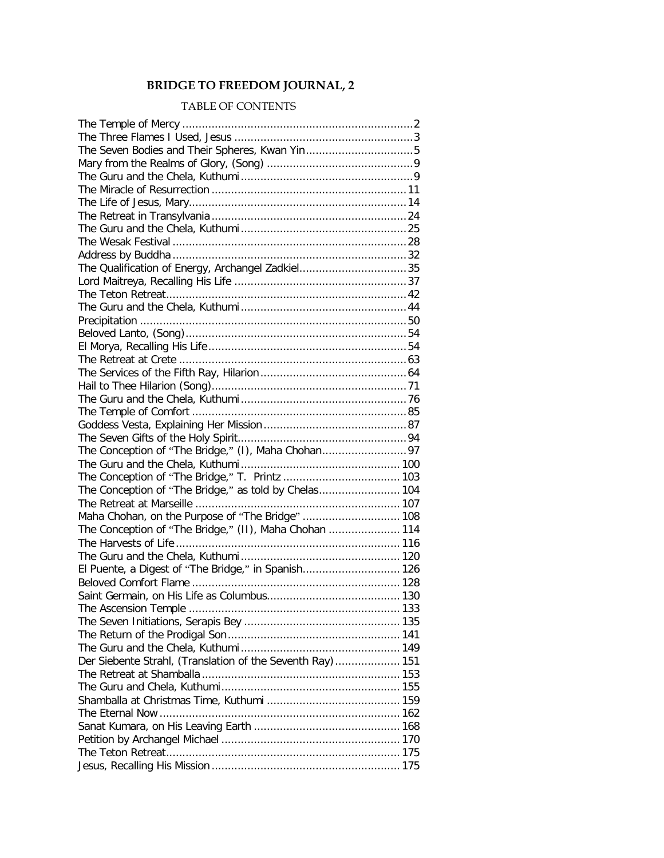## **BRIDGE TO FREEDOM JOURNAL, 2**

## TABLE OF CONTENTS

| The Qualification of Energy, Archangel Zadkiel35          |  |
|-----------------------------------------------------------|--|
|                                                           |  |
|                                                           |  |
|                                                           |  |
|                                                           |  |
|                                                           |  |
|                                                           |  |
|                                                           |  |
|                                                           |  |
|                                                           |  |
|                                                           |  |
|                                                           |  |
|                                                           |  |
|                                                           |  |
|                                                           |  |
|                                                           |  |
|                                                           |  |
| The Conception of "The Bridge," as told by Chelas 104     |  |
|                                                           |  |
| Maha Chohan, on the Purpose of "The Bridge"  108          |  |
| The Conception of "The Bridge," (II), Maha Chohan  114    |  |
|                                                           |  |
|                                                           |  |
| El Puente, a Digest of "The Bridge," in Spanish 126       |  |
|                                                           |  |
|                                                           |  |
|                                                           |  |
|                                                           |  |
|                                                           |  |
|                                                           |  |
| Der Siebente Strahl, (Translation of the Seventh Ray) 151 |  |
|                                                           |  |
|                                                           |  |
|                                                           |  |
|                                                           |  |
|                                                           |  |
|                                                           |  |
|                                                           |  |
|                                                           |  |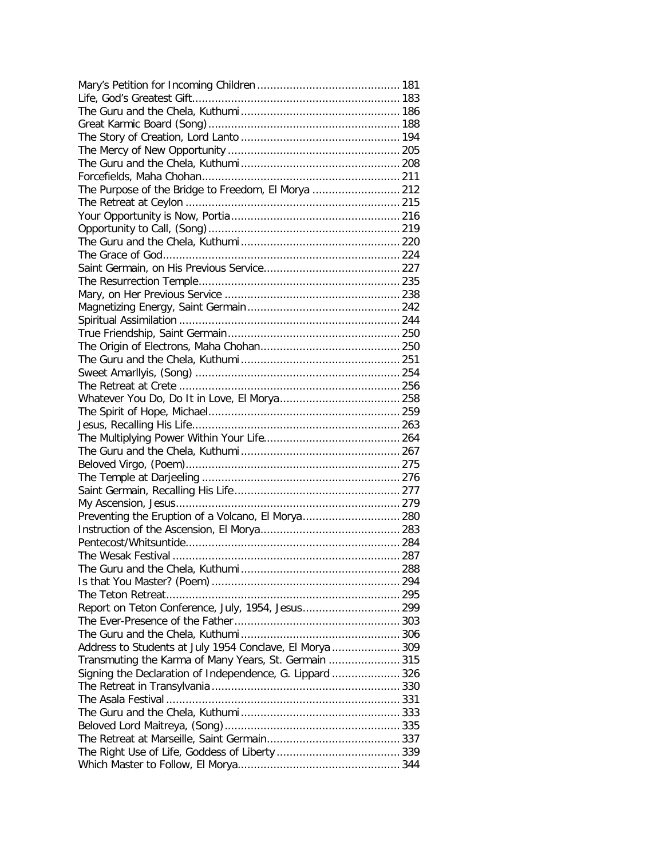| The Purpose of the Bridge to Freedom, El Morya  212      |  |
|----------------------------------------------------------|--|
|                                                          |  |
|                                                          |  |
|                                                          |  |
|                                                          |  |
|                                                          |  |
|                                                          |  |
|                                                          |  |
|                                                          |  |
|                                                          |  |
|                                                          |  |
|                                                          |  |
|                                                          |  |
|                                                          |  |
|                                                          |  |
|                                                          |  |
|                                                          |  |
|                                                          |  |
|                                                          |  |
|                                                          |  |
|                                                          |  |
|                                                          |  |
|                                                          |  |
|                                                          |  |
|                                                          |  |
|                                                          |  |
| Preventing the Eruption of a Volcano, El Morya 280       |  |
|                                                          |  |
|                                                          |  |
|                                                          |  |
|                                                          |  |
|                                                          |  |
|                                                          |  |
|                                                          |  |
|                                                          |  |
|                                                          |  |
| Address to Students at July 1954 Conclave, El Morya  309 |  |
| Transmuting the Karma of Many Years, St. Germain  315    |  |
| Signing the Declaration of Independence, G. Lippard  326 |  |
|                                                          |  |
|                                                          |  |
|                                                          |  |
|                                                          |  |
|                                                          |  |
|                                                          |  |
|                                                          |  |